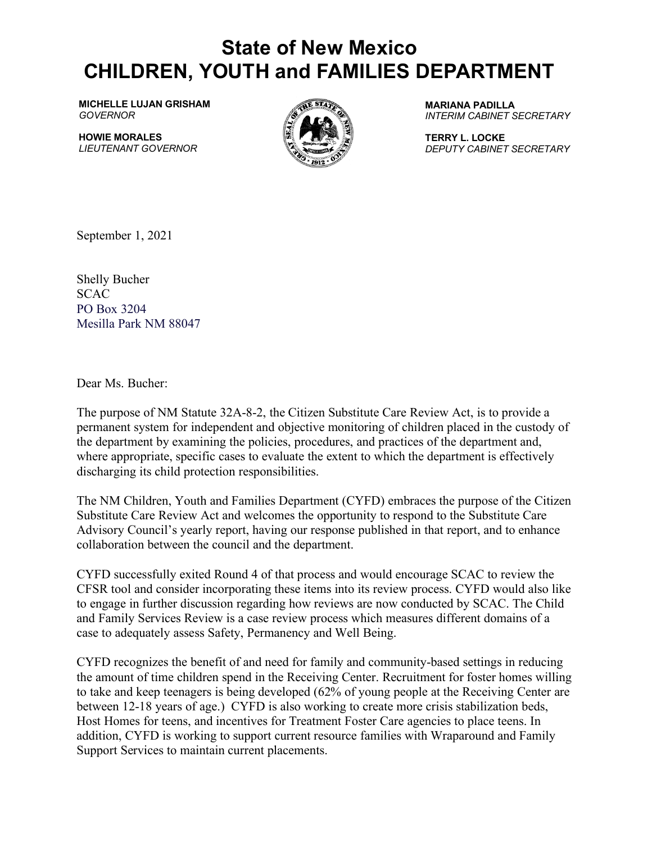## **State of New Mexico CHILDREN, YOUTH and FAMILIES DEPARTMENT**

**MICHELLE LUJAN GRISHAM** *GOVERNOR*

**HOWIE MORALES** *LIEUTENANT GOVERNOR*



**MARIANA PADILLA** *INTERIM CABINET SECRETARY*

**TERRY L. LOCKE** *DEPUTY CABINET SECRETARY*

September 1, 2021

Shelly Bucher **SCAC** PO Box 3204 Mesilla Park NM 88047

Dear Ms. Bucher:

The purpose of NM Statute 32A-8-2, the Citizen Substitute Care Review Act, is to provide a permanent system for independent and objective monitoring of children placed in the custody of the department by examining the policies, procedures, and practices of the department and, where appropriate, specific cases to evaluate the extent to which the department is effectively discharging its child protection responsibilities.

The NM Children, Youth and Families Department (CYFD) embraces the purpose of the Citizen Substitute Care Review Act and welcomes the opportunity to respond to the Substitute Care Advisory Council's yearly report, having our response published in that report, and to enhance collaboration between the council and the department.

CYFD successfully exited Round 4 of that process and would encourage SCAC to review the CFSR tool and consider incorporating these items into its review process. CYFD would also like to engage in further discussion regarding how reviews are now conducted by SCAC. The Child and Family Services Review is a case review process which measures different domains of a case to adequately assess Safety, Permanency and Well Being.

CYFD recognizes the benefit of and need for family and community-based settings in reducing the amount of time children spend in the Receiving Center. Recruitment for foster homes willing to take and keep teenagers is being developed (62% of young people at the Receiving Center are between 12-18 years of age.) CYFD is also working to create more crisis stabilization beds, Host Homes for teens, and incentives for Treatment Foster Care agencies to place teens. In addition, CYFD is working to support current resource families with Wraparound and Family Support Services to maintain current placements.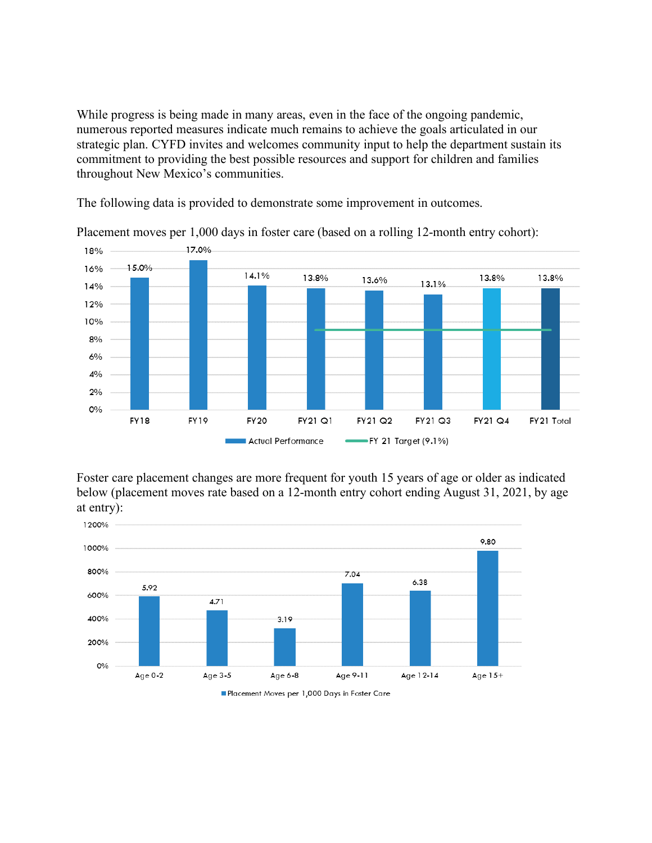While progress is being made in many areas, even in the face of the ongoing pandemic, numerous reported measures indicate much remains to achieve the goals articulated in our strategic plan. CYFD invites and welcomes community input to help the department sustain its commitment to providing the best possible resources and support for children and families throughout New Mexico's communities.

The following data is provided to demonstrate some improvement in outcomes.



Placement moves per 1,000 days in foster care (based on a rolling 12-month entry cohort):

Foster care placement changes are more frequent for youth 15 years of age or older as indicated below (placement moves rate based on a 12-month entry cohort ending August 31, 2021, by age at entry):

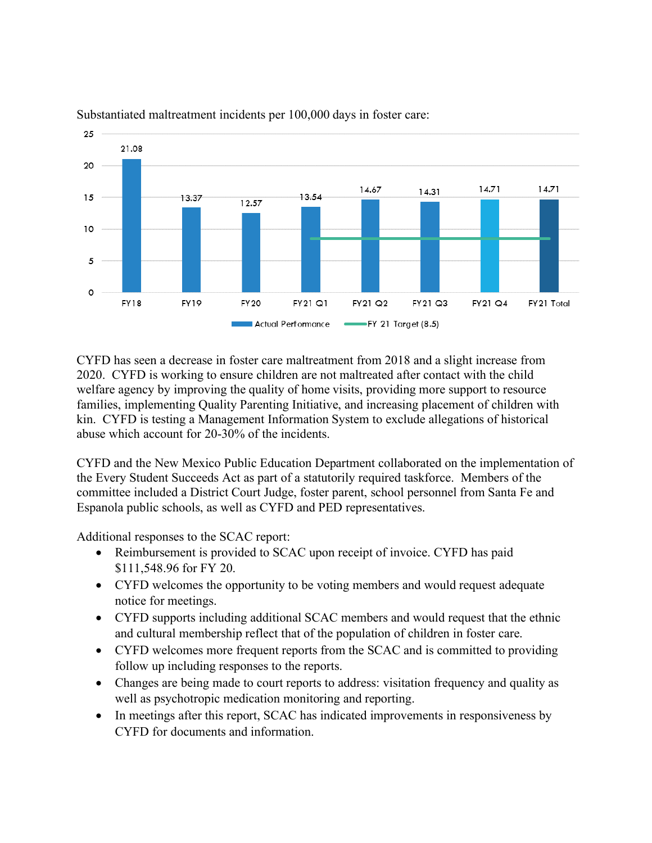

## Substantiated maltreatment incidents per 100,000 days in foster care:

CYFD has seen a decrease in foster care maltreatment from 2018 and a slight increase from 2020. CYFD is working to ensure children are not maltreated after contact with the child welfare agency by improving the quality of home visits, providing more support to resource families, implementing Quality Parenting Initiative, and increasing placement of children with kin. CYFD is testing a Management Information System to exclude allegations of historical abuse which account for 20-30% of the incidents.

CYFD and the New Mexico Public Education Department collaborated on the implementation of the Every Student Succeeds Act as part of a statutorily required taskforce. Members of the committee included a District Court Judge, foster parent, school personnel from Santa Fe and Espanola public schools, as well as CYFD and PED representatives.

Additional responses to the SCAC report:

- Reimbursement is provided to SCAC upon receipt of invoice. CYFD has paid \$111,548.96 for FY 20.
- CYFD welcomes the opportunity to be voting members and would request adequate notice for meetings.
- CYFD supports including additional SCAC members and would request that the ethnic and cultural membership reflect that of the population of children in foster care.
- CYFD welcomes more frequent reports from the SCAC and is committed to providing follow up including responses to the reports.
- Changes are being made to court reports to address: visitation frequency and quality as well as psychotropic medication monitoring and reporting.
- In meetings after this report, SCAC has indicated improvements in responsiveness by CYFD for documents and information.